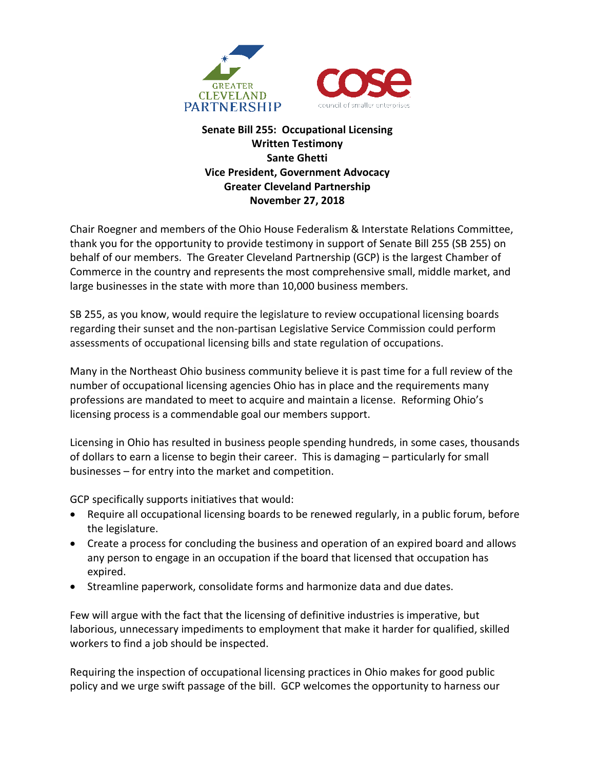

## **Senate Bill 255: Occupational Licensing Written Testimony Sante Ghetti Vice President, Government Advocacy Greater Cleveland Partnership November 27, 2018**

Chair Roegner and members of the Ohio House Federalism & Interstate Relations Committee, thank you for the opportunity to provide testimony in support of Senate Bill 255 (SB 255) on behalf of our members. The Greater Cleveland Partnership (GCP) is the largest Chamber of Commerce in the country and represents the most comprehensive small, middle market, and large businesses in the state with more than 10,000 business members.

SB 255, as you know, would require the legislature to review occupational licensing boards regarding their sunset and the non-partisan Legislative Service Commission could perform assessments of occupational licensing bills and state regulation of occupations.

Many in the Northeast Ohio business community believe it is past time for a full review of the number of occupational licensing agencies Ohio has in place and the requirements many professions are mandated to meet to acquire and maintain a license. Reforming Ohio's licensing process is a commendable goal our members support.

Licensing in Ohio has resulted in business people spending hundreds, in some cases, thousands of dollars to earn a license to begin their career. This is damaging – particularly for small businesses – for entry into the market and competition.

GCP specifically supports initiatives that would:

- Require all occupational licensing boards to be renewed regularly, in a public forum, before the legislature.
- Create a process for concluding the business and operation of an expired board and allows any person to engage in an occupation if the board that licensed that occupation has expired.
- Streamline paperwork, consolidate forms and harmonize data and due dates.

Few will argue with the fact that the licensing of definitive industries is imperative, but laborious, unnecessary impediments to employment that make it harder for qualified, skilled workers to find a job should be inspected.

Requiring the inspection of occupational licensing practices in Ohio makes for good public policy and we urge swift passage of the bill. GCP welcomes the opportunity to harness our